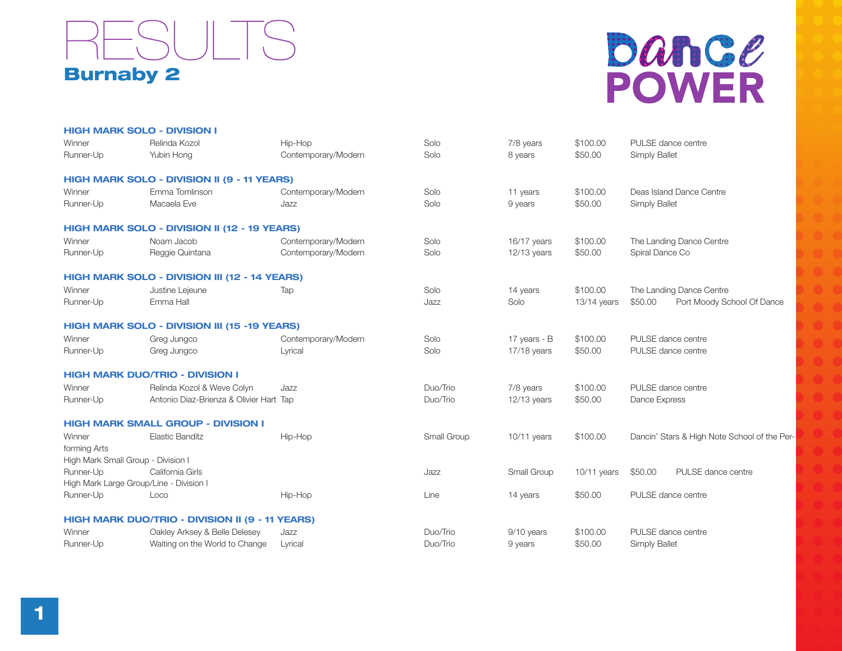

## Dance **POWER**

|              | <b>HIGH MARK SOLO - DIVISION I</b>                  |                     |             |               |               |                                              |
|--------------|-----------------------------------------------------|---------------------|-------------|---------------|---------------|----------------------------------------------|
| Winner       | Relinda Kozol                                       | Hip-Hop             | Solo        | 7/8 years     | \$100.00      | PULSE dance centre                           |
| Runner-Up    | Yubin Hong                                          | Contemporary/Modern | Solo        | 8 years       | \$50.00       | <b>Simply Ballet</b>                         |
|              | HIGH MARK SOLO - DIVISION II (9 - 11 YEARS)         |                     |             |               |               |                                              |
| Winner       | Emma Tomlinson                                      | Contemporary/Modern | Solo        | 11 years      | \$100.00      | Deas Island Dance Centre                     |
| Runner-Up    | Macaela Eve                                         | Jazz                | Solo        | 9 years       | \$50.00       | <b>Simply Ballet</b>                         |
|              | HIGH MARK SOLO - DIVISION II (12 - 19 YEARS)        |                     |             |               |               |                                              |
| Winner       | Noam Jacob                                          | Contemporary/Modern | Solo        | 16/17 years   | \$100.00      | The Landing Dance Centre                     |
| Runner-Up    | Reggie Quintana                                     | Contemporary/Modern | Solo        | $12/13$ years | \$50.00       | Spiral Dance Co                              |
|              | HIGH MARK SOLO - DIVISION III (12 - 14 YEARS)       |                     |             |               |               |                                              |
| Winner       | Justine Lejeune                                     | Tap                 | Solo        | 14 years      | \$100.00      | The Landing Dance Centre                     |
| Runner-Up    | Emma Hall                                           |                     | Jazz        | Solo          | 13/14 years   | \$50.00<br>Port Moody School Of Dance        |
|              | <b>HIGH MARK SOLO - DIVISION III (15 -19 YEARS)</b> |                     |             |               |               |                                              |
| Winner       | Greg Jungco                                         | Contemporary/Modern | Solo        | 17 years - B  | \$100.00      | PULSE dance centre                           |
| Runner-Up    | Greg Jungco                                         | Lyrical             | Solo        | 17/18 years   | \$50.00       | PULSE dance centre                           |
|              | <b>HIGH MARK DUO/TRIO - DIVISION I</b>              |                     |             |               |               |                                              |
| Winner       | Relinda Kozol & Weve Colyn                          | Jazz                | Duo/Trio    | 7/8 years     | \$100.00      | PULSE dance centre                           |
| Runner-Up    | Antonio Diaz-Brienza & Olivier Hart Tap             |                     | Duo/Trio    | $12/13$ years | \$50.00       | Dance Express                                |
|              | <b>HIGH MARK SMALL GROUP - DIVISION I</b>           |                     |             |               |               |                                              |
| Winner       | <b>Elastic Banditz</b>                              | Hip-Hop             | Small Group | $10/11$ years | \$100.00      | Dancin' Stars & High Note School of the Per- |
| forming Arts |                                                     |                     |             |               |               |                                              |
|              | High Mark Small Group - Division I                  |                     |             |               |               |                                              |
| Runner-Up    | California Girls                                    |                     | Jazz        | Small Group   | $10/11$ years | PULSE dance centre<br>\$50.00                |
|              | High Mark Large Group/Line - Division I             |                     |             |               |               |                                              |
| Runner-Up    | Loco                                                | Hip-Hop             | Line        | 14 years      | \$50.00       | PULSE dance centre                           |
|              | HIGH MARK DUO/TRIO - DIVISION II (9 - 11 YEARS)     |                     |             |               |               |                                              |
| Winner       | Oakley Arksey & Belle Delesey                       | Jazz                | Duo/Trio    | 9/10 years    | \$100.00      | PULSE dance centre                           |
| Runner-Up    | Waiting on the World to Change                      | Lyrical             | Duo/Trio    | 9 years       | \$50.00       | <b>Simply Ballet</b>                         |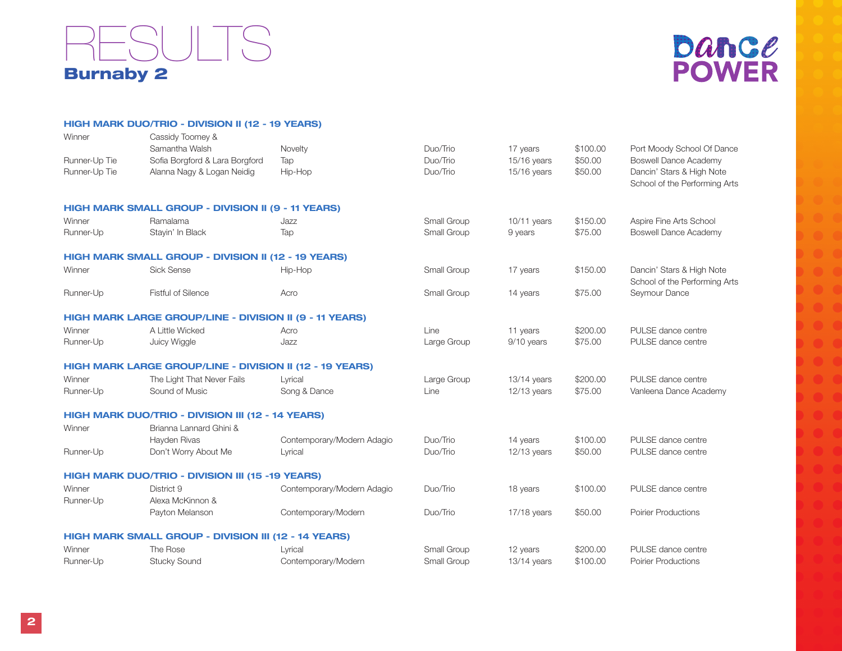



|               | HIGH MARK DUO/TRIO - DIVISION II (12 - 19 YEARS)            |                            |             |               |          |                               |
|---------------|-------------------------------------------------------------|----------------------------|-------------|---------------|----------|-------------------------------|
| Winner        | Cassidy Toomey &                                            |                            |             |               |          |                               |
|               | Samantha Walsh                                              | Novelty                    | Duo/Trio    | 17 years      | \$100.00 | Port Moody School Of Dance    |
| Runner-Up Tie | Sofia Borgford & Lara Borgford                              | Tap                        | Duo/Trio    | 15/16 years   | \$50.00  | <b>Boswell Dance Academy</b>  |
| Runner-Up Tie | Alanna Nagy & Logan Neidig                                  | Hip-Hop                    | Duo/Trio    | 15/16 years   | \$50.00  | Dancin' Stars & High Note     |
|               |                                                             |                            |             |               |          | School of the Performing Arts |
|               | HIGH MARK SMALL GROUP - DIVISION II (9 - 11 YEARS)          |                            |             |               |          |                               |
| Winner        | Ramalama                                                    | Jazz                       | Small Group | $10/11$ years | \$150.00 | Aspire Fine Arts School       |
| Runner-Up     | Stayin' In Black                                            | Tap                        | Small Group | 9 years       | \$75.00  | <b>Boswell Dance Academy</b>  |
|               | HIGH MARK SMALL GROUP - DIVISION II (12 - 19 YEARS)         |                            |             |               |          |                               |
| Winner        | <b>Sick Sense</b>                                           | Hip-Hop                    | Small Group | 17 years      | \$150.00 | Dancin' Stars & High Note     |
|               |                                                             |                            |             |               |          | School of the Performing Arts |
| Runner-Up     | <b>Fistful of Silence</b>                                   | Acro                       | Small Group | 14 years      | \$75.00  | Seymour Dance                 |
|               |                                                             |                            |             |               |          |                               |
|               | HIGH MARK LARGE GROUP/LINE - DIVISION II (9 - 11 YEARS)     |                            |             |               |          |                               |
| Winner        | A Little Wicked                                             | Acro                       | Line        | 11 years      | \$200.00 | PULSE dance centre            |
| Runner-Up     | Juicy Wiggle                                                | Jazz                       | Large Group | 9/10 years    | \$75.00  | PULSE dance centre            |
|               | HIGH MARK LARGE GROUP/LINE - DIVISION II (12 - 19 YEARS)    |                            |             |               |          |                               |
| Winner        | The Light That Never Fails                                  | Lyrical                    | Large Group | 13/14 years   | \$200.00 | PULSE dance centre            |
| Runner-Up     | Sound of Music                                              | Song & Dance               | Line        | 12/13 years   | \$75.00  | Vanleena Dance Academy        |
|               | HIGH MARK DUO/TRIO - DIVISION III (12 - 14 YEARS)           |                            |             |               |          |                               |
| Winner        | Brianna Lannard Ghini &                                     |                            |             |               |          |                               |
|               | Hayden Rivas                                                | Contemporary/Modern Adagio | Duo/Trio    | 14 years      | \$100.00 | PULSE dance centre            |
| Runner-Up     | Don't Worry About Me                                        | Lyrical                    | Duo/Trio    | 12/13 years   | \$50.00  | PULSE dance centre            |
|               | <b>HIGH MARK DUO/TRIO - DIVISION III (15 -19 YEARS)</b>     |                            |             |               |          |                               |
| Winner        | District 9                                                  | Contemporary/Modern Adagio | Duo/Trio    | 18 years      | \$100.00 | PULSE dance centre            |
| Runner-Up     | Alexa McKinnon &                                            |                            |             |               |          |                               |
|               | Payton Melanson                                             | Contemporary/Modern        | Duo/Trio    | 17/18 years   | \$50.00  | <b>Poirier Productions</b>    |
|               |                                                             |                            |             |               |          |                               |
|               | <b>HIGH MARK SMALL GROUP - DIVISION III (12 - 14 YEARS)</b> |                            |             |               |          |                               |
| Winner        | The Rose                                                    | Lyrical                    | Small Group | 12 years      | \$200.00 | PULSE dance centre            |
| Runner-Up     | <b>Stucky Sound</b>                                         | Contemporary/Modern        | Small Group | 13/14 years   | \$100.00 | <b>Poirier Productions</b>    |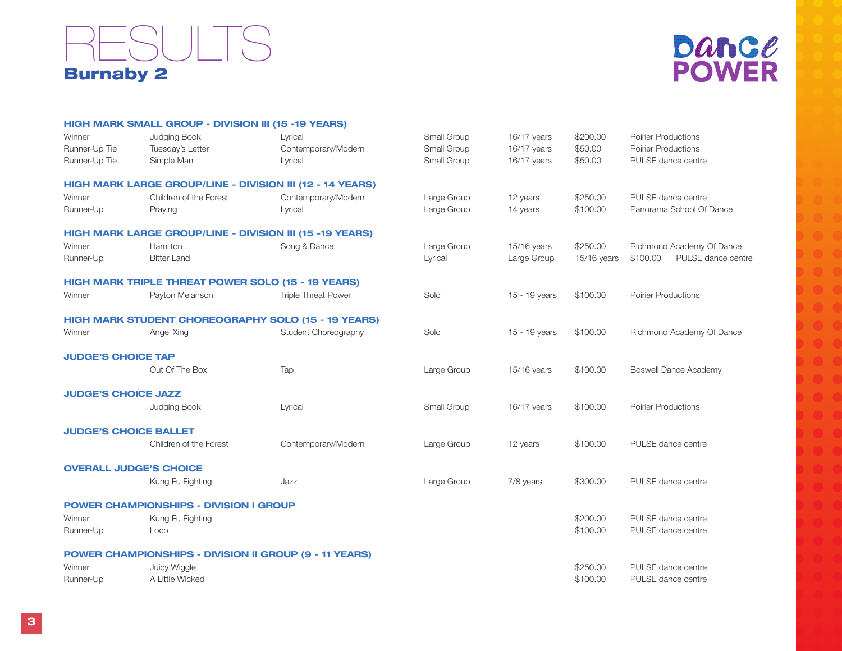## Burnaby 2 **ESULTS**



|                              | HIGH MARK SMALL GROUP - DIVISION III (15 -19 YEARS)             |                                                            |             |               |             |                                |
|------------------------------|-----------------------------------------------------------------|------------------------------------------------------------|-------------|---------------|-------------|--------------------------------|
| Winner                       | Judging Book                                                    | Lyrical                                                    | Small Group | 16/17 years   | \$200.00    | <b>Poirier Productions</b>     |
| Runner-Up Tie                | Tuesday's Letter                                                | Contemporary/Modern                                        | Small Group | 16/17 years   | \$50.00     | <b>Poirier Productions</b>     |
| Runner-Up Tie                | Simple Man                                                      | Lyrical                                                    | Small Group | 16/17 years   | \$50.00     | PULSE dance centre             |
|                              |                                                                 | HIGH MARK LARGE GROUP/LINE - DIVISION III (12 - 14 YEARS)  |             |               |             |                                |
| Winner                       | Children of the Forest                                          | Contemporary/Modern                                        | Large Group | 12 years      | \$250.00    | PULSE dance centre             |
| Runner-Up                    | Praying                                                         | Lyrical                                                    | Large Group | 14 years      | \$100.00    | Panorama School Of Dance       |
|                              | <b>HIGH MARK LARGE GROUP/LINE - DIVISION III (15 -19 YEARS)</b> |                                                            |             |               |             |                                |
| Winner                       | Hamilton                                                        | Song & Dance                                               | Large Group | 15/16 years   | \$250.00    | Richmond Academy Of Dance      |
| Runner-Up                    | <b>Bitter Land</b>                                              |                                                            | Lyrical     | Large Group   | 15/16 years | PULSE dance centre<br>\$100.00 |
|                              | <b>HIGH MARK TRIPLE THREAT POWER SOLO (15 - 19 YEARS)</b>       |                                                            |             |               |             |                                |
| Winner                       | Payton Melanson                                                 | <b>Triple Threat Power</b>                                 | Solo        | 15 - 19 years | \$100.00    | <b>Poirier Productions</b>     |
|                              |                                                                 | <b>HIGH MARK STUDENT CHOREOGRAPHY SOLO (15 - 19 YEARS)</b> |             |               |             |                                |
| Winner                       | Angel Xing                                                      | Student Choreography                                       | Solo        | 15 - 19 years | \$100.00    | Richmond Academy Of Dance      |
| <b>JUDGE'S CHOICE TAP</b>    |                                                                 |                                                            |             |               |             |                                |
|                              | Out Of The Box                                                  | Tap                                                        | Large Group | 15/16 years   | \$100.00    | <b>Boswell Dance Academy</b>   |
| <b>JUDGE'S CHOICE JAZZ</b>   |                                                                 |                                                            |             |               |             |                                |
|                              | Judging Book                                                    | Lyrical                                                    | Small Group | 16/17 years   | \$100.00    | <b>Poirier Productions</b>     |
| <b>JUDGE'S CHOICE BALLET</b> |                                                                 |                                                            |             |               |             |                                |
|                              | Children of the Forest                                          | Contemporary/Modern                                        | Large Group | 12 years      | \$100.00    | PULSE dance centre             |
|                              | <b>OVERALL JUDGE'S CHOICE</b>                                   |                                                            |             |               |             |                                |
|                              | Kung Fu Fighting                                                | Jazz                                                       | Large Group | 7/8 years     | \$300.00    | PULSE dance centre             |
|                              | <b>POWER CHAMPIONSHIPS - DIVISION I GROUP</b>                   |                                                            |             |               |             |                                |
| Winner                       | Kung Fu Fighting                                                |                                                            |             |               | \$200.00    | PULSE dance centre             |
| Runner-Up                    | Loco                                                            |                                                            |             |               | \$100.00    | PULSE dance centre             |
|                              | <b>POWER CHAMPIONSHIPS - DIVISION II GROUP (9 - 11 YEARS)</b>   |                                                            |             |               |             |                                |
| Winner                       | Juicy Wiggle                                                    |                                                            |             |               | \$250.00    | PULSE dance centre             |
| Runner-Up                    | A Little Wicked                                                 |                                                            |             |               | \$100.00    | PULSE dance centre             |